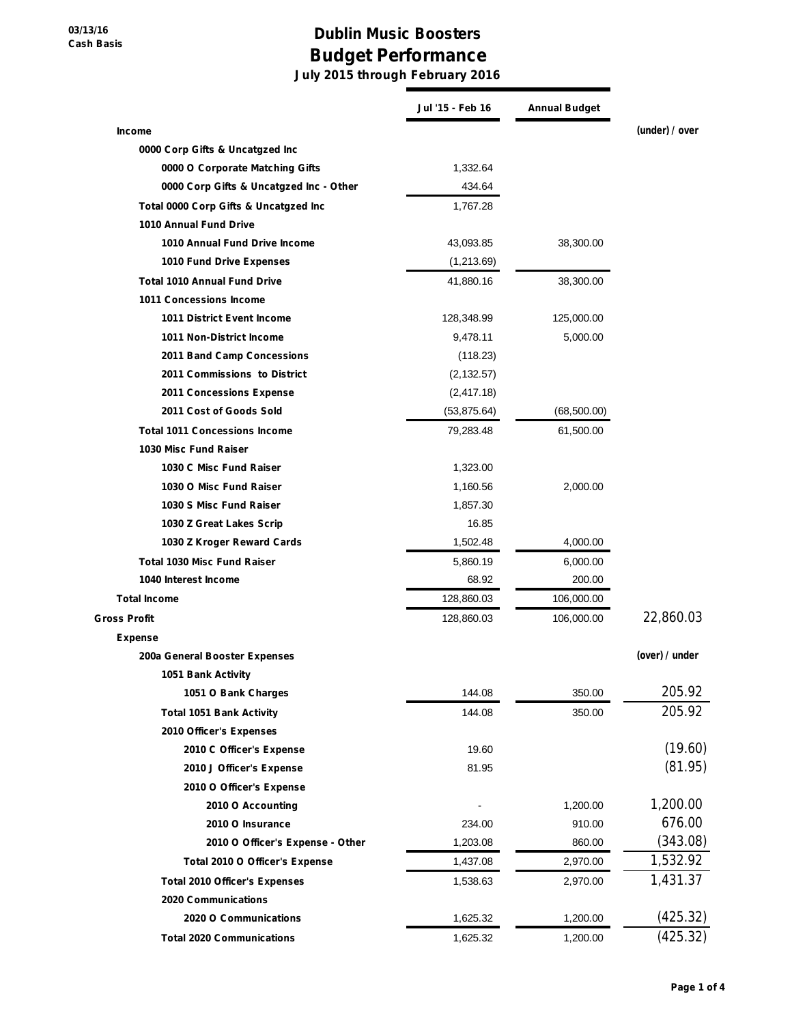## **Dublin Music Boosters Budget Performance**

**July 2015 through February 2016**

|                                         | Jul '15 - Feb 16 | <b>Annual Budget</b> |                |
|-----------------------------------------|------------------|----------------------|----------------|
| <b>Income</b>                           |                  |                      | (under) / over |
| 0000 Corp Gifts & Uncatgzed Inc         |                  |                      |                |
| 0000 O Corporate Matching Gifts         | 1,332.64         |                      |                |
| 0000 Corp Gifts & Uncatgzed Inc - Other | 434.64           |                      |                |
| Total 0000 Corp Gifts & Uncatgzed Inc   | 1,767.28         |                      |                |
| 1010 Annual Fund Drive                  |                  |                      |                |
| 1010 Annual Fund Drive Income           | 43,093.85        | 38,300.00            |                |
| 1010 Fund Drive Expenses                | (1,213.69)       |                      |                |
| <b>Total 1010 Annual Fund Drive</b>     | 41,880.16        | 38,300.00            |                |
| 1011 Concessions Income                 |                  |                      |                |
| 1011 District Event Income              | 128,348.99       | 125,000.00           |                |
| 1011 Non-District Income                | 9,478.11         | 5,000.00             |                |
| 2011 Band Camp Concessions              | (118.23)         |                      |                |
| 2011 Commissions to District            | (2, 132.57)      |                      |                |
| 2011 Concessions Expense                | (2, 417.18)      |                      |                |
| 2011 Cost of Goods Sold                 | (53, 875.64)     | (68, 500.00)         |                |
| <b>Total 1011 Concessions Income</b>    | 79,283.48        | 61,500.00            |                |
| 1030 Misc Fund Raiser                   |                  |                      |                |
| 1030 C Misc Fund Raiser                 | 1,323.00         |                      |                |
| 1030 O Misc Fund Raiser                 | 1,160.56         | 2,000.00             |                |
| 1030 S Misc Fund Raiser                 | 1,857.30         |                      |                |
| 1030 Z Great Lakes Scrip                | 16.85            |                      |                |
| 1030 Z Kroger Reward Cards              | 1,502.48         | 4,000.00             |                |
| <b>Total 1030 Misc Fund Raiser</b>      | 5,860.19         | 6,000.00             |                |
| 1040 Interest Income                    | 68.92            | 200.00               |                |
| <b>Total Income</b>                     | 128,860.03       | 106,000.00           |                |
| <b>Gross Profit</b>                     | 128,860.03       | 106,000.00           | 22,860.03      |
| Expense                                 |                  |                      |                |
| 200a General Booster Expenses           |                  |                      | (over) / under |
| 1051 Bank Activity                      |                  |                      |                |
| 1051 O Bank Charges                     | 144.08           | 350.00               | 205.92         |
| <b>Total 1051 Bank Activity</b>         | 144.08           | 350.00               | 205.92         |
| 2010 Officer's Expenses                 |                  |                      |                |
| 2010 C Officer's Expense                | 19.60            |                      | (19.60)        |
| 2010 J Officer's Expense                | 81.95            |                      | (81.95)        |
| 2010 O Officer's Expense                |                  |                      |                |
| 2010 O Accounting                       |                  | 1,200.00             | 1,200.00       |
| 2010 O Insurance                        | 234.00           | 910.00               | 676.00         |
| 2010 O Officer's Expense - Other        | 1,203.08         | 860.00               | (343.08)       |
| Total 2010 O Officer's Expense          | 1,437.08         | 2,970.00             | 1,532.92       |
| <b>Total 2010 Officer's Expenses</b>    | 1,538.63         | 2,970.00             | 1,431.37       |
| 2020 Communications                     |                  |                      |                |
| 2020 O Communications                   | 1,625.32         | 1,200.00             | (425.32)       |
| <b>Total 2020 Communications</b>        | 1,625.32         | 1,200.00             | (425.32)       |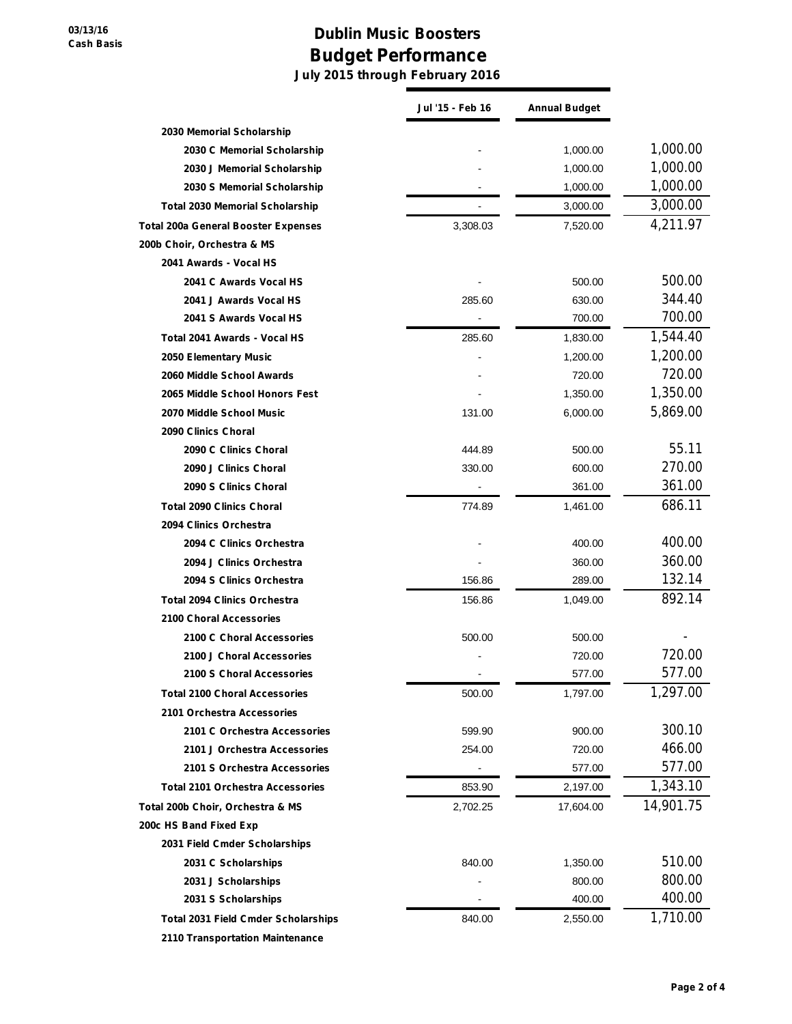## **Dublin Music Boosters Budget Performance**

**July 2015 through February 2016**

|                                            | Jul '15 - Feb 16 | <b>Annual Budget</b> |           |
|--------------------------------------------|------------------|----------------------|-----------|
| 2030 Memorial Scholarship                  |                  |                      |           |
| 2030 C Memorial Scholarship                |                  | 1,000.00             | 1,000.00  |
| 2030 J Memorial Scholarship                |                  | 1,000.00             | 1,000.00  |
| 2030 S Memorial Scholarship                |                  | 1,000.00             | 1,000.00  |
| <b>Total 2030 Memorial Scholarship</b>     |                  | 3,000.00             | 3,000.00  |
| <b>Total 200a General Booster Expenses</b> | 3,308.03         | 7,520.00             | 4,211.97  |
| 200b Choir, Orchestra & MS                 |                  |                      |           |
| 2041 Awards - Vocal HS                     |                  |                      |           |
| 2041 C Awards Vocal HS                     |                  | 500.00               | 500.00    |
| 2041 J Awards Vocal HS                     | 285.60           | 630.00               | 344.40    |
| 2041 S Awards Vocal HS                     |                  | 700.00               | 700.00    |
| Total 2041 Awards - Vocal HS               | 285.60           | 1,830.00             | 1,544.40  |
| 2050 Elementary Music                      |                  | 1,200.00             | 1,200.00  |
| 2060 Middle School Awards                  |                  | 720.00               | 720.00    |
| 2065 Middle School Honors Fest             |                  | 1,350.00             | 1,350.00  |
| 2070 Middle School Music                   | 131.00           | 6,000.00             | 5,869.00  |
| 2090 Clinics Choral                        |                  |                      |           |
| 2090 C Clinics Choral                      | 444.89           | 500.00               | 55.11     |
| 2090 J Clinics Choral                      | 330.00           | 600.00               | 270.00    |
| 2090 S Clinics Choral                      |                  | 361.00               | 361.00    |
| <b>Total 2090 Clinics Choral</b>           | 774.89           | 1,461.00             | 686.11    |
| 2094 Clinics Orchestra                     |                  |                      |           |
| 2094 C Clinics Orchestra                   |                  | 400.00               | 400.00    |
| 2094 J Clinics Orchestra                   |                  | 360.00               | 360.00    |
| 2094 S Clinics Orchestra                   | 156.86           | 289.00               | 132.14    |
| <b>Total 2094 Clinics Orchestra</b>        | 156.86           | 1,049.00             | 892.14    |
| 2100 Choral Accessories                    |                  |                      |           |
| 2100 C Choral Accessories                  | 500.00           | 500.00               |           |
| 2100 J Choral Accessories                  |                  | 720.00               | 720.00    |
| 2100 S Choral Accessories                  |                  | 577.00               | 577.00    |
| <b>Total 2100 Choral Accessories</b>       | 500.00           | 1,797.00             | 1,297.00  |
| 2101 Orchestra Accessories                 |                  |                      |           |
| 2101 C Orchestra Accessories               | 599.90           | 900.00               | 300.10    |
| 2101 J Orchestra Accessories               | 254.00           | 720.00               | 466.00    |
| 2101 S Orchestra Accessories               |                  | 577.00               | 577.00    |
| <b>Total 2101 Orchestra Accessories</b>    | 853.90           | 2,197.00             | 1,343.10  |
| Total 200b Choir, Orchestra & MS           | 2,702.25         | 17,604.00            | 14,901.75 |
| 200c HS Band Fixed Exp                     |                  |                      |           |
| 2031 Field Cmder Scholarships              |                  |                      |           |
| 2031 C Scholarships                        | 840.00           | 1,350.00             | 510.00    |
| 2031 J Scholarships                        |                  | 800.00               | 800.00    |
| 2031 S Scholarships                        |                  | 400.00               | 400.00    |
| <b>Total 2031 Field Cmder Scholarships</b> | 840.00           | 2,550.00             | 1,710.00  |
| 2110 Transportation Maintenance            |                  |                      |           |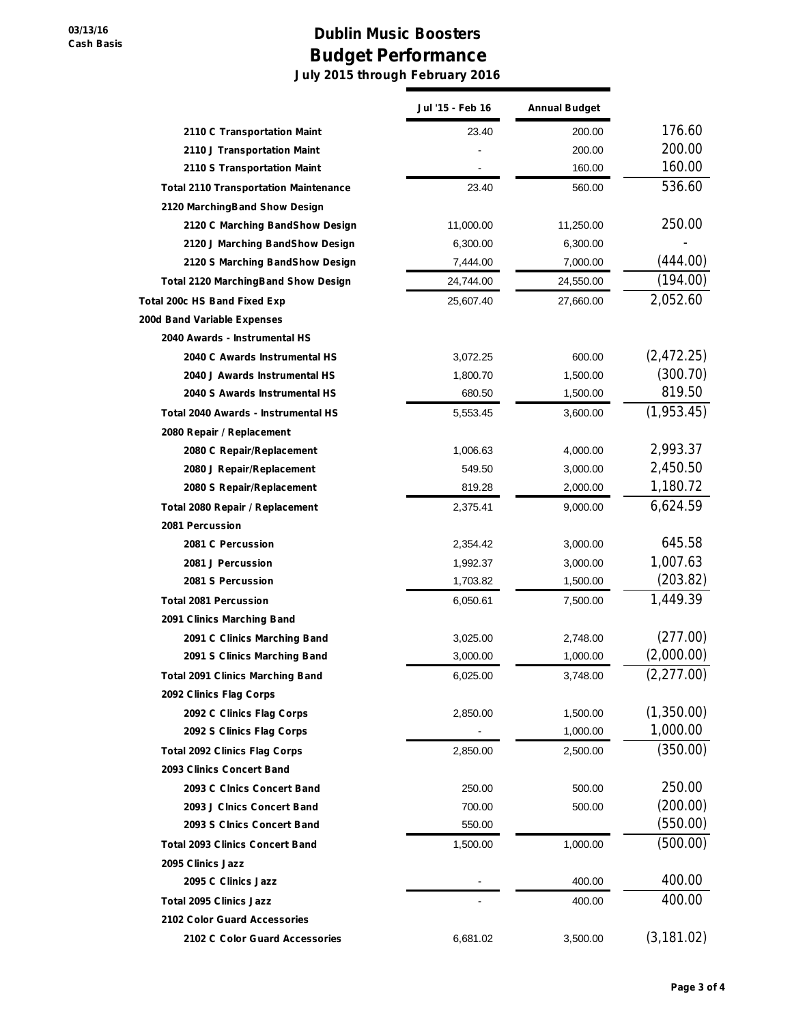## **Dublin Music Boosters Budget Performance July 2015 through February 2016**

|                                              | Jul '15 - Feb 16 | <b>Annual Budget</b> |             |
|----------------------------------------------|------------------|----------------------|-------------|
| 2110 C Transportation Maint                  | 23.40            | 200.00               | 176.60      |
| 2110 J Transportation Maint                  |                  | 200.00               | 200.00      |
| 2110 S Transportation Maint                  |                  | 160.00               | 160.00      |
| <b>Total 2110 Transportation Maintenance</b> | 23.40            | 560.00               | 536.60      |
| 2120 MarchingBand Show Design                |                  |                      |             |
| 2120 C Marching BandShow Design              | 11,000.00        | 11,250.00            | 250.00      |
| 2120 J Marching BandShow Design              | 6,300.00         | 6,300.00             |             |
| 2120 S Marching BandShow Design              | 7,444.00         | 7,000.00             | (444.00)    |
| <b>Total 2120 MarchingBand Show Design</b>   | 24,744.00        | 24,550.00            | (194.00)    |
| Total 200c HS Band Fixed Exp                 | 25,607.40        | 27,660.00            | 2,052.60    |
| 200d Band Variable Expenses                  |                  |                      |             |
| 2040 Awards - Instrumental HS                |                  |                      |             |
| 2040 C Awards Instrumental HS                | 3,072.25         | 600.00               | (2,472.25)  |
| 2040 J Awards Instrumental HS                | 1,800.70         | 1,500.00             | (300.70)    |
| 2040 S Awards Instrumental HS                | 680.50           | 1,500.00             | 819.50      |
| Total 2040 Awards - Instrumental HS          | 5,553.45         | 3,600.00             | (1,953.45)  |
| 2080 Repair / Replacement                    |                  |                      |             |
| 2080 C Repair/Replacement                    | 1,006.63         | 4,000.00             | 2,993.37    |
| 2080 J Repair/Replacement                    | 549.50           | 3,000.00             | 2,450.50    |
| 2080 S Repair/Replacement                    | 819.28           | 2,000.00             | 1,180.72    |
| Total 2080 Repair / Replacement              | 2,375.41         | 9,000.00             | 6,624.59    |
| 2081 Percussion                              |                  |                      |             |
| 2081 C Percussion                            | 2,354.42         | 3,000.00             | 645.58      |
| 2081 J Percussion                            | 1,992.37         | 3,000.00             | 1,007.63    |
| 2081 S Percussion                            | 1,703.82         | 1,500.00             | (203.82)    |
| <b>Total 2081 Percussion</b>                 | 6,050.61         | 7,500.00             | 1,449.39    |
| 2091 Clinics Marching Band                   |                  |                      |             |
| 2091 C Clinics Marching Band                 | 3,025.00         | 2,748.00             | (277.00)    |
| 2091 S Clinics Marching Band                 | 3,000.00         | 1,000.00             | (2,000.00)  |
| <b>Total 2091 Clinics Marching Band</b>      | 6,025.00         | 3,748.00             | (2, 277.00) |
| 2092 Clinics Flag Corps                      |                  |                      |             |
| 2092 C Clinics Flag Corps                    | 2,850.00         | 1,500.00             | (1,350.00)  |
| 2092 S Clinics Flag Corps                    |                  | 1,000.00             | 1,000.00    |
| <b>Total 2092 Clinics Flag Corps</b>         | 2,850.00         | 2,500.00             | (350.00)    |
| 2093 Clinics Concert Band                    |                  |                      |             |
| 2093 C Cinics Concert Band                   | 250.00           | 500.00               | 250.00      |
| 2093 J Clnics Concert Band                   | 700.00           | 500.00               | (200.00)    |
| 2093 S Cinics Concert Band                   | 550.00           |                      | (550.00)    |
| <b>Total 2093 Clinics Concert Band</b>       | 1,500.00         | 1,000.00             | (500.00)    |
| 2095 Clinics Jazz                            |                  |                      |             |
| 2095 C Clinics Jazz                          |                  | 400.00               | 400.00      |
| <b>Total 2095 Clinics Jazz</b>               |                  | 400.00               | 400.00      |
| 2102 Color Guard Accessories                 |                  |                      |             |
| 2102 C Color Guard Accessories               | 6,681.02         | 3,500.00             | (3, 181.02) |
|                                              |                  |                      |             |